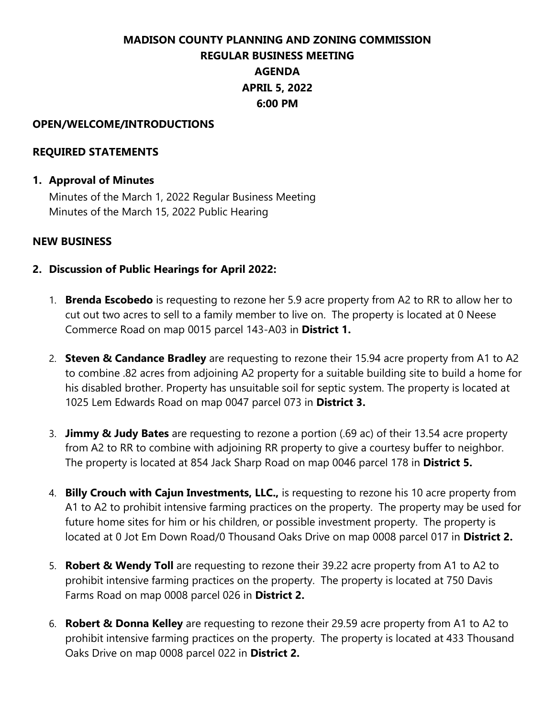# **MADISON COUNTY PLANNING AND ZONING COMMISSION REGULAR BUSINESS MEETING AGENDA APRIL 5, 2022 6:00 PM**

#### **OPEN/WELCOME/INTRODUCTIONS**

#### **REQUIRED STATEMENTS**

#### **1. Approval of Minutes**

Minutes of the March 1, 2022 Regular Business Meeting Minutes of the March 15, 2022 Public Hearing

#### **NEW BUSINESS**

- **2. Discussion of Public Hearings for April 2022:**
	- 1. **Brenda Escobedo** is requesting to rezone her 5.9 acre property from A2 to RR to allow her to cut out two acres to sell to a family member to live on. The property is located at 0 Neese Commerce Road on map 0015 parcel 143-A03 in **District 1.**
	- 2. **Steven & Candance Bradley** are requesting to rezone their 15.94 acre property from A1 to A2 to combine .82 acres from adjoining A2 property for a suitable building site to build a home for his disabled brother. Property has unsuitable soil for septic system. The property is located at 1025 Lem Edwards Road on map 0047 parcel 073 in **District 3.**
	- 3. **Jimmy & Judy Bates** are requesting to rezone a portion (.69 ac) of their 13.54 acre property from A2 to RR to combine with adjoining RR property to give a courtesy buffer to neighbor. The property is located at 854 Jack Sharp Road on map 0046 parcel 178 in **District 5.**
	- 4. **Billy Crouch with Cajun Investments, LLC.,** is requesting to rezone his 10 acre property from A1 to A2 to prohibit intensive farming practices on the property. The property may be used for future home sites for him or his children, or possible investment property. The property is located at 0 Jot Em Down Road/0 Thousand Oaks Drive on map 0008 parcel 017 in **District 2.**
	- 5. **Robert & Wendy Toll** are requesting to rezone their 39.22 acre property from A1 to A2 to prohibit intensive farming practices on the property. The property is located at 750 Davis Farms Road on map 0008 parcel 026 in **District 2.**
	- 6. **Robert & Donna Kelley** are requesting to rezone their 29.59 acre property from A1 to A2 to prohibit intensive farming practices on the property. The property is located at 433 Thousand Oaks Drive on map 0008 parcel 022 in **District 2.**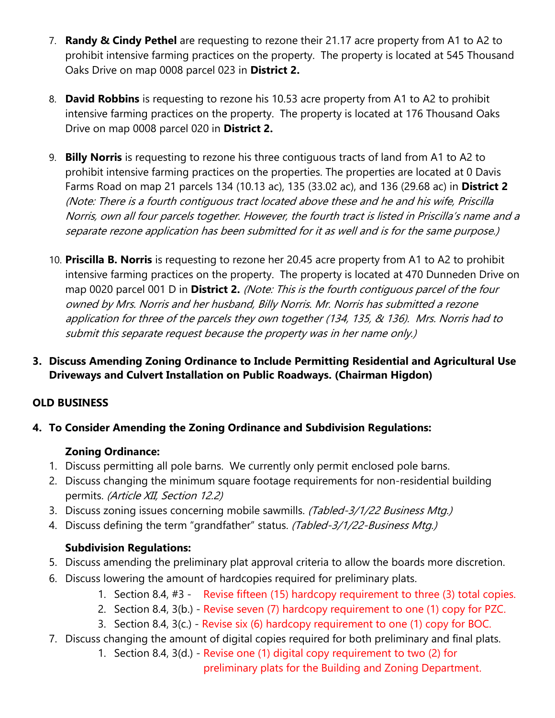- 7. **Randy & Cindy Pethel** are requesting to rezone their 21.17 acre property from A1 to A2 to prohibit intensive farming practices on the property. The property is located at 545 Thousand Oaks Drive on map 0008 parcel 023 in **District 2.**
- 8. **David Robbins** is requesting to rezone his 10.53 acre property from A1 to A2 to prohibit intensive farming practices on the property. The property is located at 176 Thousand Oaks Drive on map 0008 parcel 020 in **District 2.**
- 9. **Billy Norris** is requesting to rezone his three contiguous tracts of land from A1 to A2 to prohibit intensive farming practices on the properties. The properties are located at 0 Davis Farms Road on map 21 parcels 134 (10.13 ac), 135 (33.02 ac), and 136 (29.68 ac) in **District 2**  (Note: There is a fourth contiguous tract located above these and he and his wife, Priscilla Norris, own all four parcels together. However, the fourth tract is listed in Priscilla's name and a separate rezone application has been submitted for it as well and is for the same purpose.)
- 10. **Priscilla B. Norris** is requesting to rezone her 20.45 acre property from A1 to A2 to prohibit intensive farming practices on the property. The property is located at 470 Dunneden Drive on map 0020 parcel 001 D in **District 2.** (Note: This is the fourth contiguous parcel of the four owned by Mrs. Norris and her husband, Billy Norris. Mr. Norris has submitted a rezone application for three of the parcels they own together (134, 135, & 136). Mrs. Norris had to submit this separate request because the property was in her name only.)
- **3. Discuss Amending Zoning Ordinance to Include Permitting Residential and Agricultural Use Driveways and Culvert Installation on Public Roadways. (Chairman Higdon)**

### **OLD BUSINESS**

### **4. To Consider Amending the Zoning Ordinance and Subdivision Regulations:**

### **Zoning Ordinance:**

- 1. Discuss permitting all pole barns. We currently only permit enclosed pole barns.
- 2. Discuss changing the minimum square footage requirements for non-residential building permits. (Article XII, Section 12.2)
- 3. Discuss zoning issues concerning mobile sawmills. (Tabled-3/1/22 Business Mtg.)
- 4. Discuss defining the term "grandfather" status. (Tabled-3/1/22-Business Mtg.)

## **Subdivision Regulations:**

- 5. Discuss amending the preliminary plat approval criteria to allow the boards more discretion.
- 6. Discuss lowering the amount of hardcopies required for preliminary plats.
	- 1. Section 8.4, #3 Revise fifteen (15) hardcopy requirement to three (3) total copies.
	- 2. Section 8.4, 3(b.) Revise seven (7) hardcopy requirement to one (1) copy for PZC.
	- 3. Section 8.4, 3(c.) Revise six (6) hardcopy requirement to one (1) copy for BOC.
- 7. Discuss changing the amount of digital copies required for both preliminary and final plats.
	- 1. Section 8.4, 3(d.) Revise one (1) digital copy requirement to two (2) for preliminary plats for the Building and Zoning Department.